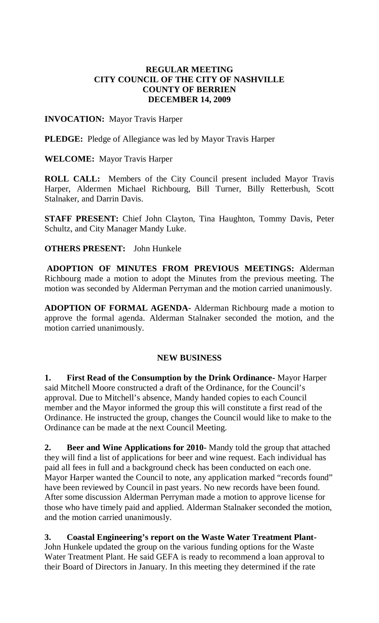### **REGULAR MEETING CITY COUNCIL OF THE CITY OF NASHVILLE COUNTY OF BERRIEN DECEMBER 14, 2009**

## **INVOCATION:** Mayor Travis Harper

**PLEDGE:** Pledge of Allegiance was led by Mayor Travis Harper

**WELCOME:** Mayor Travis Harper

**ROLL CALL:** Members of the City Council present included Mayor Travis Harper, Aldermen Michael Richbourg, Bill Turner, Billy Retterbush, Scott Stalnaker, and Darrin Davis.

**STAFF PRESENT:** Chief John Clayton, Tina Haughton, Tommy Davis, Peter Schultz, and City Manager Mandy Luke.

# **OTHERS PRESENT:** John Hunkele

**ADOPTION OF MINUTES FROM PREVIOUS MEETINGS: A**lderman Richbourg made a motion to adopt the Minutes from the previous meeting. The motion was seconded by Alderman Perryman and the motion carried unanimously.

**ADOPTION OF FORMAL AGENDA-** Alderman Richbourg made a motion to approve the formal agenda. Alderman Stalnaker seconded the motion, and the motion carried unanimously.

### **NEW BUSINESS**

**1. First Read of the Consumption by the Drink Ordinance-** Mayor Harper said Mitchell Moore constructed a draft of the Ordinance, for the Council's approval. Due to Mitchell's absence, Mandy handed copies to each Council member and the Mayor informed the group this will constitute a first read of the Ordinance. He instructed the group, changes the Council would like to make to the Ordinance can be made at the next Council Meeting.

**2. Beer and Wine Applications for 2010-** Mandy told the group that attached they will find a list of applications for beer and wine request. Each individual has paid all fees in full and a background check has been conducted on each one. Mayor Harper wanted the Council to note, any application marked "records found" have been reviewed by Council in past years. No new records have been found. After some discussion Alderman Perryman made a motion to approve license for those who have timely paid and applied. Alderman Stalnaker seconded the motion, and the motion carried unanimously.

# **3. Coastal Engineering's report on the Waste Water Treatment Plant-**

John Hunkele updated the group on the various funding options for the Waste Water Treatment Plant. He said GEFA is ready to recommend a loan approval to their Board of Directors in January. In this meeting they determined if the rate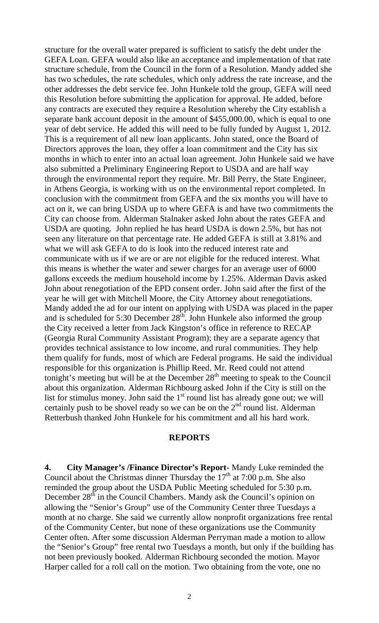structure for the overall water prepared is sufficient to satisfy the debt under the GEFA Loan. GEFA would also like an acceptance and implementation of that rate structure schedule, from the Council in the form of a Resolution. Mandy added she has two schedules, the rate schedules, which only address the rate increase, and the other addresses the debt service fee. John Hunkele told the group, GEFA will need this Resolution before submitting the application for approval. He added, before any contracts are executed they require a Resolution whereby the City establish a separate bank account deposit in the amount of \$455,000.00, which is equal to one year of debt service. He added this will need to be fully funded by August 1, 2012. This is a requirement of all new loan applicants. John stated, once the Board of Directors approves the loan, they offer a loan commitment and the City has six months in which to enter into an actual loan agreement. John Hunkele said we have also submitted a Preliminary Engineering Report to USDA and are half way through the environmental report they require. Mr. Bill Perry, the State Engineer, in Athens Georgia, is working with us on the environmental report completed. In conclusion with the commitment from GEFA and the six months you will have to act on it, we can bring USDA up to where GEFA is and have two commitments the City can choose from. Alderman Stalnaker asked John about the rates GEFA and USDA are quoting. John replied he has heard USDA is down 2.5%, but has not seen any literature on that percentage rate. He added GEFA is still at 3.81% and what we will ask GEFA to do is look into the reduced interest rate and communicate with us if we are or are not eligible for the reduced interest. What this means is whether the water and sewer charges for an average user of 6000 gallons exceeds the medium household income by 1.25%. Alderman Davis asked John about renegotiation of the EPD consent order. John said after the first of the year he will get with Mitchell Moore, the City Attorney about renegotiations. Mandy added the ad for our intent on applying with USDA was placed in the paper and is scheduled for 5:30 December  $28<sup>th</sup>$ . John Hunkele also informed the group the City received a letter from Jack Kingston's office in reference to RECAP (Georgia Rural Community Assistant Program); they are a separate agency that provides technical assistance to low income, and rural communities. They help them qualify for funds, most of which are Federal programs. He said the individual responsible for this organization is Phillip Reed. Mr. Reed could not attend tonight's meeting but will be at the December  $28<sup>th</sup>$  meeting to speak to the Council about this organization. Alderman Richbourg asked John if the City is still on the list for stimulus money. John said the  $1<sup>st</sup>$  round list has already gone out; we will certainly push to be shovel ready so we can be on the 2<sup>nd</sup> round list. Alderman Retterbush thanked John Hunkele for his commitment and all his hard work.

#### **REPORTS**

**4. City Manager's /Finance Director's Report-** Mandy Luke reminded the Council about the Christmas dinner Thursday the  $17<sup>th</sup>$  at 7:00 p.m. She also reminded the group about the USDA Public Meeting scheduled for 5:30 p.m. December 28<sup>th</sup> in the Council Chambers. Mandy ask the Council's opinion on allowing the "Senior's Group" use of the Community Center three Tuesdays a month at no charge. She said we currently allow nonprofit organizations free rental of the Community Center, but none of these organizations use the Community Center often. After some discussion Alderman Perryman made a motion to allow the "Senior's Group" free rental two Tuesdays a month, but only if the building has not been previously booked. Alderman Richbourg seconded the motion. Mayor Harper called for a roll call on the motion. Two obtaining from the vote, one no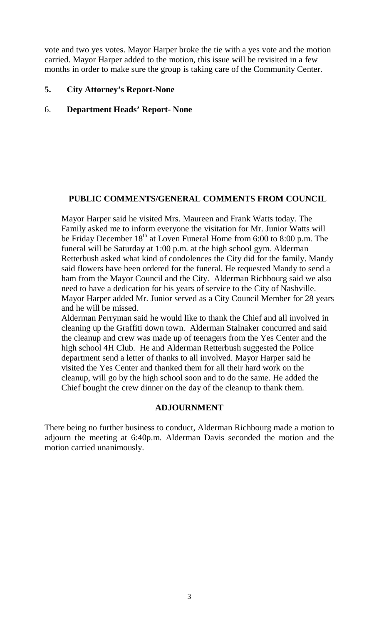vote and two yes votes. Mayor Harper broke the tie with a yes vote and the motion carried. Mayor Harper added to the motion, this issue will be revisited in a few months in order to make sure the group is taking care of the Community Center.

# **5. City Attorney's Report-None**

## 6. **Department Heads' Report- None**

# **PUBLIC COMMENTS/GENERAL COMMENTS FROM COUNCIL**

Mayor Harper said he visited Mrs. Maureen and Frank Watts today. The Family asked me to inform everyone the visitation for Mr. Junior Watts will be Friday December  $18<sup>th</sup>$  at Loven Funeral Home from 6:00 to 8:00 p.m. The funeral will be Saturday at 1:00 p.m. at the high school gym. Alderman Retterbush asked what kind of condolences the City did for the family. Mandy said flowers have been ordered for the funeral. He requested Mandy to send a ham from the Mayor Council and the City. Alderman Richbourg said we also need to have a dedication for his years of service to the City of Nashville. Mayor Harper added Mr. Junior served as a City Council Member for 28 years and he will be missed.

Alderman Perryman said he would like to thank the Chief and all involved in cleaning up the Graffiti down town. Alderman Stalnaker concurred and said the cleanup and crew was made up of teenagers from the Yes Center and the high school 4H Club. He and Alderman Retterbush suggested the Police department send a letter of thanks to all involved. Mayor Harper said he visited the Yes Center and thanked them for all their hard work on the cleanup, will go by the high school soon and to do the same. He added the Chief bought the crew dinner on the day of the cleanup to thank them.

### **ADJOURNMENT**

There being no further business to conduct, Alderman Richbourg made a motion to adjourn the meeting at 6:40p.m. Alderman Davis seconded the motion and the motion carried unanimously.